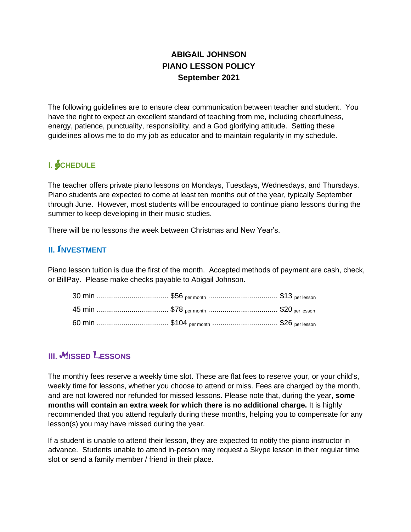## **ABIGAIL JOHNSON PIANO LESSON POLICY September 2021**

The following guidelines are to ensure clear communication between teacher and student. You have the right to expect an excellent standard of teaching from me, including cheerfulness, energy, patience, punctuality, responsibility, and a God glorifying attitude. Setting these guidelines allows me to do my job as educator and to maintain regularity in my schedule.

# **I.** SCHEDULE

The teacher offers private piano lessons on Mondays, Tuesdays, Wednesdays, and Thursdays. Piano students are expected to come at least ten months out of the year, typically September through June. However, most students will be encouraged to continue piano lessons during the summer to keep developing in their music studies.

There will be no lessons the week between Christmas and New Year's.

#### **II. NVESTMENT**

Piano lesson tuition is due the first of the month. Accepted methods of payment are cash, check, or BillPay. Please make checks payable to Abigail Johnson.

### **III.** MISSED LESSONS

The monthly fees reserve a weekly time slot. These are flat fees to reserve your, or your child's, weekly time for lessons, whether you choose to attend or miss. Fees are charged by the month, and are not lowered nor refunded for missed lessons. Please note that, during the year, **some months will contain an extra week for which there is no additional charge.** It is highly recommended that you attend regularly during these months, helping you to compensate for any lesson(s) you may have missed during the year.

If a student is unable to attend their lesson, they are expected to notify the piano instructor in advance. Students unable to attend in-person may request a Skype lesson in their regular time slot or send a family member / friend in their place.